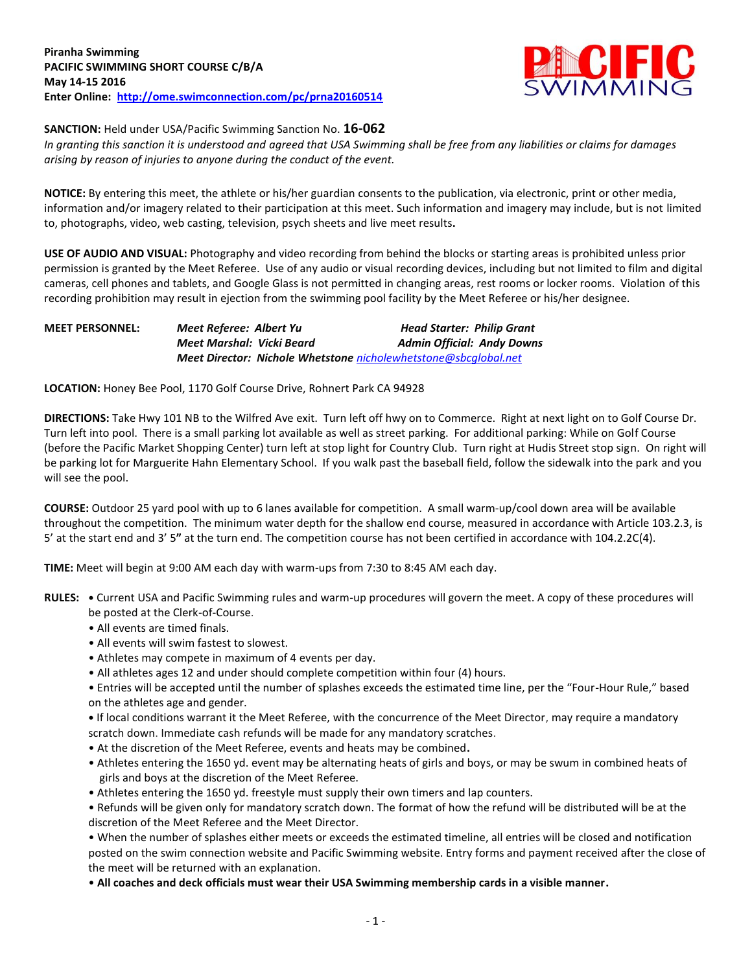

**SANCTION:** Held under USA/Pacific Swimming Sanction No. **16-062**

*In granting this sanction it is understood and agreed that USA Swimming shall be free from any liabilities or claims for damages arising by reason of injuries to anyone during the conduct of the event.*

**NOTICE:** By entering this meet, the athlete or his/her guardian consents to the publication, via electronic, print or other media, information and/or imagery related to their participation at this meet. Such information and imagery may include, but is not limited to, photographs, video, web casting, television, psych sheets and live meet results**.**

**USE OF AUDIO AND VISUAL:** Photography and video recording from behind the blocks or starting areas is prohibited unless prior permission is granted by the Meet Referee. Use of any audio or visual recording devices, including but not limited to film and digital cameras, cell phones and tablets, and Google Glass is not permitted in changing areas, rest rooms or locker rooms. Violation of this recording prohibition may result in ejection from the swimming pool facility by the Meet Referee or his/her designee.

## **MEET PERSONNEL:** *Meet Referee: Albert Yu Head Starter: Philip Grant Meet Marshal: Vicki Beard Admin Official: Andy Downs Meet Director: Nichole Whetstone [nicholewhetstone@sbcglobal.net](mailto:nicholewhetstone@sbcglobal.net)*

**LOCATION:** Honey Bee Pool, 1170 Golf Course Drive, Rohnert Park CA 94928

**DIRECTIONS:** Take Hwy 101 NB to the Wilfred Ave exit. Turn left off hwy on to Commerce. Right at next light on to Golf Course Dr. Turn left into pool. There is a small parking lot available as well as street parking. For additional parking: While on Golf Course (before the Pacific Market Shopping Center) turn left at stop light for Country Club. Turn right at Hudis Street stop sign. On right will be parking lot for Marguerite Hahn Elementary School. If you walk past the baseball field, follow the sidewalk into the park and you will see the pool.

**COURSE:** Outdoor 25 yard pool with up to 6 lanes available for competition. A small warm-up/cool down area will be available throughout the competition. The minimum water depth for the shallow end course, measured in accordance with Article 103.2.3, is 5' at the start end and 3' 5**"** at the turn end. The competition course has not been certified in accordance with 104.2.2C(4).

**TIME:** Meet will begin at 9:00 AM each day with warm-ups from 7:30 to 8:45 AM each day.

- **RULES: •** Current USA and Pacific Swimming rules and warm-up procedures will govern the meet. A copy of these procedures will be posted at the Clerk-of-Course.
	- All events are timed finals.
	- All events will swim fastest to slowest.
	- Athletes may compete in maximum of 4 events per day.
	- All athletes ages 12 and under should complete competition within four (4) hours.
	- Entries will be accepted until the number of splashes exceeds the estimated time line, per the "Four-Hour Rule," based on the athletes age and gender.

**•** If local conditions warrant it the Meet Referee, with the concurrence of the Meet Director, may require a mandatory scratch down. Immediate cash refunds will be made for any mandatory scratches.

- At the discretion of the Meet Referee, events and heats may be combined**.**
- Athletes entering the 1650 yd. event may be alternating heats of girls and boys, or may be swum in combined heats of girls and boys at the discretion of the Meet Referee.
- Athletes entering the 1650 yd. freestyle must supply their own timers and lap counters.

• Refunds will be given only for mandatory scratch down. The format of how the refund will be distributed will be at the discretion of the Meet Referee and the Meet Director.

• When the number of splashes either meets or exceeds the estimated timeline, all entries will be closed and notification posted on the swim connection website and Pacific Swimming website. Entry forms and payment received after the close of the meet will be returned with an explanation.

• **All coaches and deck officials must wear their USA Swimming membership cards in a visible manner.**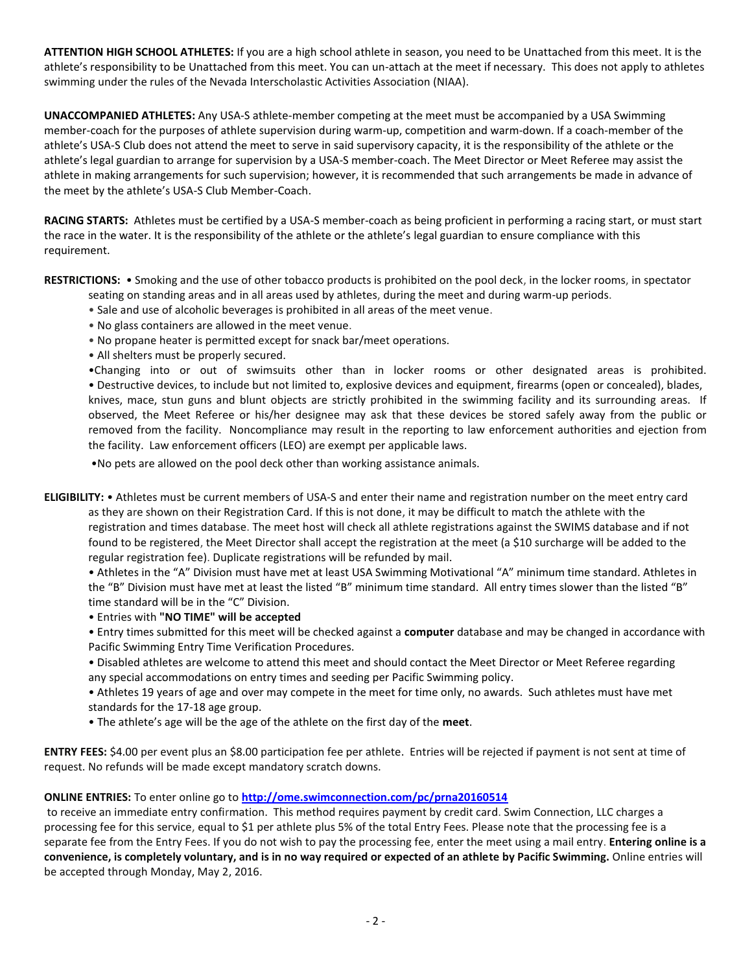**ATTENTION HIGH SCHOOL ATHLETES:** If you are a high school athlete in season, you need to be Unattached from this meet. It is the athlete's responsibility to be Unattached from this meet. You can un-attach at the meet if necessary. This does not apply to athletes swimming under the rules of the Nevada Interscholastic Activities Association (NIAA).

**UNACCOMPANIED ATHLETES:** Any USA-S athlete-member competing at the meet must be accompanied by a USA Swimming member-coach for the purposes of athlete supervision during warm-up, competition and warm-down. If a coach-member of the athlete's USA-S Club does not attend the meet to serve in said supervisory capacity, it is the responsibility of the athlete or the athlete's legal guardian to arrange for supervision by a USA-S member-coach. The Meet Director or Meet Referee may assist the athlete in making arrangements for such supervision; however, it is recommended that such arrangements be made in advance of the meet by the athlete's USA-S Club Member-Coach.

**RACING STARTS:** Athletes must be certified by a USA-S member-coach as being proficient in performing a racing start, or must start the race in the water. It is the responsibility of the athlete or the athlete's legal guardian to ensure compliance with this requirement.

**RESTRICTIONS:** • Smoking and the use of other tobacco products is prohibited on the pool deck, in the locker rooms, in spectator

- seating on standing areas and in all areas used by athletes, during the meet and during warm-up periods.
- Sale and use of alcoholic beverages is prohibited in all areas of the meet venue.
- No glass containers are allowed in the meet venue.
- No propane heater is permitted except for snack bar/meet operations.
- All shelters must be properly secured.

•Changing into or out of swimsuits other than in locker rooms or other designated areas is prohibited. • Destructive devices, to include but not limited to, explosive devices and equipment, firearms (open or concealed), blades, knives, mace, stun guns and blunt objects are strictly prohibited in the swimming facility and its surrounding areas. If observed, the Meet Referee or his/her designee may ask that these devices be stored safely away from the public or removed from the facility. Noncompliance may result in the reporting to law enforcement authorities and ejection from the facility. Law enforcement officers (LEO) are exempt per applicable laws.

•No pets are allowed on the pool deck other than working assistance animals.

**ELIGIBILITY:** • Athletes must be current members of USA-S and enter their name and registration number on the meet entry card as they are shown on their Registration Card. If this is not done, it may be difficult to match the athlete with the registration and times database. The meet host will check all athlete registrations against the SWIMS database and if not found to be registered, the Meet Director shall accept the registration at the meet (a \$10 surcharge will be added to the regular registration fee). Duplicate registrations will be refunded by mail.

• Athletes in the "A" Division must have met at least USA Swimming Motivational "A" minimum time standard. Athletes in the "B" Division must have met at least the listed "B" minimum time standard. All entry times slower than the listed "B" time standard will be in the "C" Division.

• Entries with **"NO TIME" will be accepted** 

• Entry times submitted for this meet will be checked against a **computer** database and may be changed in accordance with Pacific Swimming Entry Time Verification Procedures.

• Disabled athletes are welcome to attend this meet and should contact the Meet Director or Meet Referee regarding any special accommodations on entry times and seeding per Pacific Swimming policy.

• Athletes 19 years of age and over may compete in the meet for time only, no awards. Such athletes must have met standards for the 17-18 age group.

• The athlete's age will be the age of the athlete on the first day of the **meet**.

**ENTRY FEES:** \$4.00 per event plus an \$8.00 participation fee per athlete. Entries will be rejected if payment is not sent at time of request. No refunds will be made except mandatory scratch downs.

**ONLINE ENTRIES:** To enter online go to **<http://ome.swimconnection.com/pc/prna20160514>**

to receive an immediate entry confirmation. This method requires payment by credit card. Swim Connection, LLC charges a processing fee for this service, equal to \$1 per athlete plus 5% of the total Entry Fees. Please note that the processing fee is a separate fee from the Entry Fees. If you do not wish to pay the processing fee, enter the meet using a mail entry. **Entering online is a convenience, is completely voluntary, and is in no way required or expected of an athlete by Pacific Swimming.** Online entries will be accepted through Monday, May 2, 2016.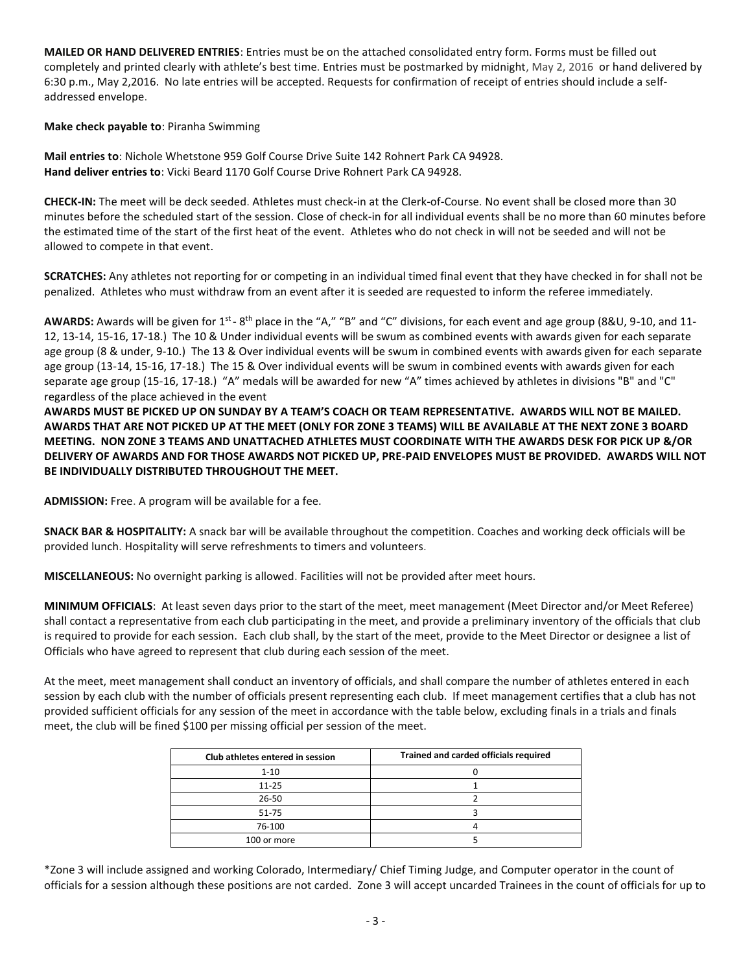**MAILED OR HAND DELIVERED ENTRIES**: Entries must be on the attached consolidated entry form. Forms must be filled out completely and printed clearly with athlete's best time. Entries must be postmarked by midnight, May 2, 2016 or hand delivered by 6:30 p.m., May 2,2016. No late entries will be accepted. Requests for confirmation of receipt of entries should include a selfaddressed envelope.

**Make check payable to**: Piranha Swimming

**Mail entries to**: Nichole Whetstone 959 Golf Course Drive Suite 142 Rohnert Park CA 94928. **Hand deliver entries to**: Vicki Beard 1170 Golf Course Drive Rohnert Park CA 94928.

**CHECK-IN:** The meet will be deck seeded. Athletes must check-in at the Clerk-of-Course. No event shall be closed more than 30 minutes before the scheduled start of the session. Close of check-in for all individual events shall be no more than 60 minutes before the estimated time of the start of the first heat of the event. Athletes who do not check in will not be seeded and will not be allowed to compete in that event.

**SCRATCHES:** Any athletes not reporting for or competing in an individual timed final event that they have checked in for shall not be penalized. Athletes who must withdraw from an event after it is seeded are requested to inform the referee immediately.

AWARDS: Awards will be given for 1<sup>st</sup> - 8<sup>th</sup> place in the "A," "B" and "C" divisions, for each event and age group (8&U, 9-10, and 11-12, 13-14, 15-16, 17-18.) The 10 & Under individual events will be swum as combined events with awards given for each separate age group (8 & under, 9-10.) The 13 & Over individual events will be swum in combined events with awards given for each separate age group (13-14, 15-16, 17-18.) The 15 & Over individual events will be swum in combined events with awards given for each separate age group (15-16, 17-18.) "A" medals will be awarded for new "A" times achieved by athletes in divisions "B" and "C" regardless of the place achieved in the event

**AWARDS MUST BE PICKED UP ON SUNDAY BY A TEAM'S COACH OR TEAM REPRESENTATIVE. AWARDS WILL NOT BE MAILED. AWARDS THAT ARE NOT PICKED UP AT THE MEET (ONLY FOR ZONE 3 TEAMS) WILL BE AVAILABLE AT THE NEXT ZONE 3 BOARD MEETING. NON ZONE 3 TEAMS AND UNATTACHED ATHLETES MUST COORDINATE WITH THE AWARDS DESK FOR PICK UP &/OR DELIVERY OF AWARDS AND FOR THOSE AWARDS NOT PICKED UP, PRE-PAID ENVELOPES MUST BE PROVIDED. AWARDS WILL NOT BE INDIVIDUALLY DISTRIBUTED THROUGHOUT THE MEET.**

**ADMISSION:** Free. A program will be available for a fee.

**SNACK BAR & HOSPITALITY:** A snack bar will be available throughout the competition. Coaches and working deck officials will be provided lunch. Hospitality will serve refreshments to timers and volunteers.

**MISCELLANEOUS:** No overnight parking is allowed. Facilities will not be provided after meet hours.

**MINIMUM OFFICIALS**: At least seven days prior to the start of the meet, meet management (Meet Director and/or Meet Referee) shall contact a representative from each club participating in the meet, and provide a preliminary inventory of the officials that club is required to provide for each session. Each club shall, by the start of the meet, provide to the Meet Director or designee a list of Officials who have agreed to represent that club during each session of the meet.

At the meet, meet management shall conduct an inventory of officials, and shall compare the number of athletes entered in each session by each club with the number of officials present representing each club. If meet management certifies that a club has not provided sufficient officials for any session of the meet in accordance with the table below, excluding finals in a trials and finals meet, the club will be fined \$100 per missing official per session of the meet.

| Club athletes entered in session | Trained and carded officials required |  |  |  |  |  |
|----------------------------------|---------------------------------------|--|--|--|--|--|
| $1 - 10$                         |                                       |  |  |  |  |  |
| $11 - 25$                        |                                       |  |  |  |  |  |
| 26-50                            |                                       |  |  |  |  |  |
| $51 - 75$                        |                                       |  |  |  |  |  |
| 76-100                           |                                       |  |  |  |  |  |
| 100 or more                      |                                       |  |  |  |  |  |

\*Zone 3 will include assigned and working Colorado, Intermediary/ Chief Timing Judge, and Computer operator in the count of officials for a session although these positions are not carded. Zone 3 will accept uncarded Trainees in the count of officials for up to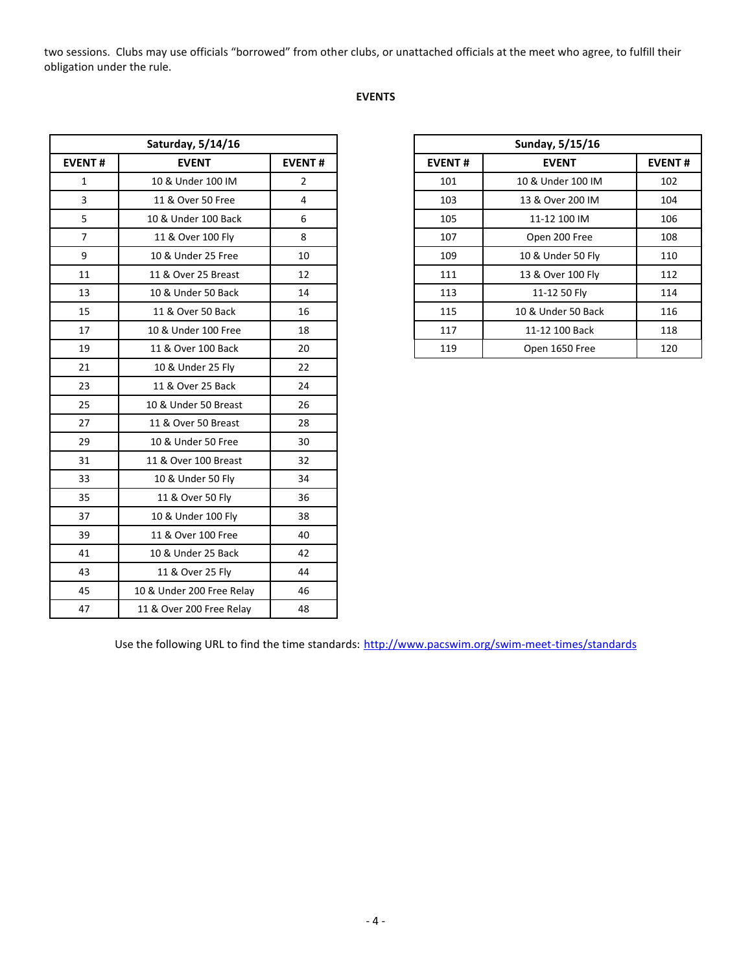two sessions. Clubs may use officials "borrowed" from other clubs, or unattached officials at the meet who agree, to fulfill their obligation under the rule.

## **EVENTS**

| Saturday, 5/14/16 |                           |                |
|-------------------|---------------------------|----------------|
| <b>EVENT#</b>     | <b>EVENT</b>              | <b>EVENT#</b>  |
| $\mathbf{1}$      | 10 & Under 100 IM         | $\overline{2}$ |
| 3                 | 11 & Over 50 Free         | 4              |
| 5                 | 10 & Under 100 Back       | 6              |
| $\overline{7}$    | 11 & Over 100 Fly         | 8              |
| 9                 | 10 & Under 25 Free        | 10             |
| 11                | 11 & Over 25 Breast       | 12             |
| 13                | 10 & Under 50 Back        | 14             |
| 15                | 11 & Over 50 Back         | 16             |
| 17                | 10 & Under 100 Free       | 18             |
| 19                | 11 & Over 100 Back        | 20             |
| 21                | 10 & Under 25 Fly         | 22             |
| 23                | 11 & Over 25 Back         | 24             |
| 25                | 10 & Under 50 Breast      | 26             |
| 27                | 11 & Over 50 Breast       | 28             |
| 29                | 10 & Under 50 Free        | 30             |
| 31                | 11 & Over 100 Breast      | 32             |
| 33                | 10 & Under 50 Fly         | 34             |
| 35                | 11 & Over 50 Fly          | 36             |
| 37                | 10 & Under 100 Fly        | 38             |
| 39                | 11 & Over 100 Free        | 40             |
| 41                | 10 & Under 25 Back        | 42             |
| 43                | 11 & Over 25 Fly          | 44             |
| 45                | 10 & Under 200 Free Relay | 46             |
| 47                | 11 & Over 200 Free Relay  | 48             |

| Saturday, 5/14/16 |                     |                | Sunday, 5/15/16 |                    |               |  |
|-------------------|---------------------|----------------|-----------------|--------------------|---------------|--|
| <b>EVENT#</b>     | <b>EVENT</b>        | <b>EVENT#</b>  | <b>EVENT#</b>   | <b>EVENT</b>       | <b>EVENT#</b> |  |
| 1                 | 10 & Under 100 IM   | $\overline{2}$ | 101             | 10 & Under 100 IM  | 102           |  |
| 3                 | 11 & Over 50 Free   | 4              | 103             | 13 & Over 200 IM   | 104           |  |
| 5                 | 10 & Under 100 Back | 6              | 105             | 11-12 100 IM       | 106           |  |
| 7                 | 11 & Over 100 Fly   | 8              | 107             | Open 200 Free      | 108           |  |
| 9                 | 10 & Under 25 Free  | 10             | 109             | 10 & Under 50 Fly  | 110           |  |
| 11                | 11 & Over 25 Breast | 12             | 111             | 13 & Over 100 Fly  | 112           |  |
| 13                | 10 & Under 50 Back  | 14             | 113             | 11-12 50 Fly       | 114           |  |
| 15                | 11 & Over 50 Back   | 16             | 115             | 10 & Under 50 Back | 116           |  |
| 17                | 10 & Under 100 Free | 18             | 117             | 11-12 100 Back     | 118           |  |
| 19                | 11 & Over 100 Back  | 20             | 119             | Open 1650 Free     | 120           |  |
|                   |                     |                |                 |                    |               |  |

Use the following URL to find the time standards: <http://www.pacswim.org/swim-meet-times/standards>